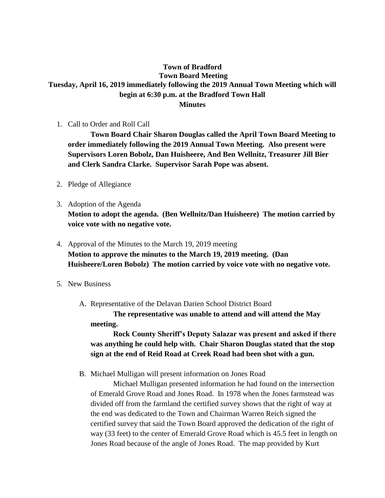## **Town of Bradford Town Board Meeting Tuesday, April 16, 2019 immediately following the 2019 Annual Town Meeting which will begin at 6:30 p.m. at the Bradford Town Hall Minutes**

1. Call to Order and Roll Call

**Town Board Chair Sharon Douglas called the April Town Board Meeting to order immediately following the 2019 Annual Town Meeting. Also present were Supervisors Loren Bobolz, Dan Huisheere, And Ben Wellnitz, Treasurer Jill Bier and Clerk Sandra Clarke. Supervisor Sarah Pope was absent.**

- 2. Pledge of Allegiance
- 3. Adoption of the Agenda **Motion to adopt the agenda. (Ben Wellnitz/Dan Huisheere) The motion carried by voice vote with no negative vote.**
- 4. Approval of the Minutes to the March 19, 2019 meeting **Motion to approve the minutes to the March 19, 2019 meeting. (Dan Huisheere/Loren Bobolz) The motion carried by voice vote with no negative vote.**
- 5. New Business
	- A. Representative of the Delavan Darien School District Board

**The representative was unable to attend and will attend the May meeting.**

**Rock County Sheriff's Deputy Salazar was present and asked if there was anything he could help with. Chair Sharon Douglas stated that the stop sign at the end of Reid Road at Creek Road had been shot with a gun.** 

B. Michael Mulligan will present information on Jones Road

Michael Mulligan presented information he had found on the intersection of Emerald Grove Road and Jones Road. In 1978 when the Jones farmstead was divided off from the farmland the certified survey shows that the right of way at the end was dedicated to the Town and Chairman Warren Reich signed the certified survey that said the Town Board approved the dedication of the right of way (33 feet) to the center of Emerald Grove Road which is 45.5 feet in length on Jones Road because of the angle of Jones Road. The map provided by Kurt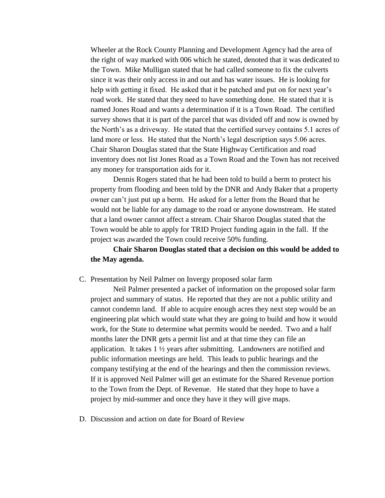Wheeler at the Rock County Planning and Development Agency had the area of the right of way marked with 006 which he stated, denoted that it was dedicated to the Town. Mike Mulligan stated that he had called someone to fix the culverts since it was their only access in and out and has water issues. He is looking for help with getting it fixed. He asked that it be patched and put on for next year's road work. He stated that they need to have something done. He stated that it is named Jones Road and wants a determination if it is a Town Road. The certified survey shows that it is part of the parcel that was divided off and now is owned by the North's as a driveway. He stated that the certified survey contains 5.1 acres of land more or less. He stated that the North's legal description says 5.06 acres. Chair Sharon Douglas stated that the State Highway Certification and road inventory does not list Jones Road as a Town Road and the Town has not received any money for transportation aids for it.

Dennis Rogers stated that he had been told to build a berm to protect his property from flooding and been told by the DNR and Andy Baker that a property owner can't just put up a berm. He asked for a letter from the Board that he would not be liable for any damage to the road or anyone downstream. He stated that a land owner cannot affect a stream. Chair Sharon Douglas stated that the Town would be able to apply for TRID Project funding again in the fall. If the project was awarded the Town could receive 50% funding.

## **Chair Sharon Douglas stated that a decision on this would be added to the May agenda.**

## C. Presentation by Neil Palmer on Invergy proposed solar farm

Neil Palmer presented a packet of information on the proposed solar farm project and summary of status. He reported that they are not a public utility and cannot condemn land. If able to acquire enough acres they next step would be an engineering plat which would state what they are going to build and how it would work, for the State to determine what permits would be needed. Two and a half months later the DNR gets a permit list and at that time they can file an application. It takes 1 ½ years after submitting. Landowners are notified and public information meetings are held. This leads to public hearings and the company testifying at the end of the hearings and then the commission reviews. If it is approved Neil Palmer will get an estimate for the Shared Revenue portion to the Town from the Dept. of Revenue. He stated that they hope to have a project by mid-summer and once they have it they will give maps.

D. Discussion and action on date for Board of Review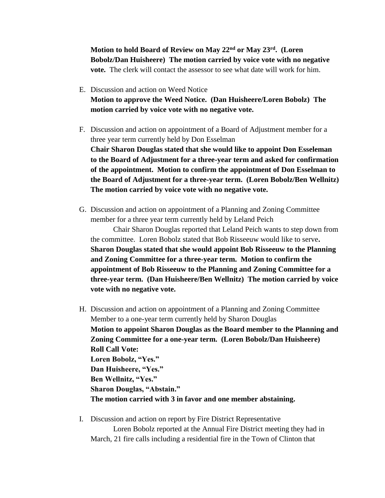**Motion to hold Board of Review on May 22nd or May 23rd. (Loren Bobolz/Dan Huisheere) The motion carried by voice vote with no negative vote.** The clerk will contact the assessor to see what date will work for him.

- E. Discussion and action on Weed Notice **Motion to approve the Weed Notice. (Dan Huisheere/Loren Bobolz) The motion carried by voice vote with no negative vote.**
- F. Discussion and action on appointment of a Board of Adjustment member for a three year term currently held by Don Esselman **Chair Sharon Douglas stated that she would like to appoint Don Esseleman to the Board of Adjustment for a three-year term and asked for confirmation of the appointment. Motion to confirm the appointment of Don Esselman to the Board of Adjustment for a three-year term. (Loren Bobolz/Ben Wellnitz) The motion carried by voice vote with no negative vote.**
- G. Discussion and action on appointment of a Planning and Zoning Committee member for a three year term currently held by Leland Peich

Chair Sharon Douglas reported that Leland Peich wants to step down from the committee. Loren Bobolz stated that Bob Risseeuw would like to serve**. Sharon Douglas stated that she would appoint Bob Risseeuw to the Planning and Zoning Committee for a three-year term. Motion to confirm the appointment of Bob Risseeuw to the Planning and Zoning Committee for a three-year term. (Dan Huisheere/Ben Wellnitz) The motion carried by voice vote with no negative vote.**

- H. Discussion and action on appointment of a Planning and Zoning Committee Member to a one-year term currently held by Sharon Douglas **Motion to appoint Sharon Douglas as the Board member to the Planning and Zoning Committee for a one-year term. (Loren Bobolz/Dan Huisheere) Roll Call Vote: Loren Bobolz, "Yes." Dan Huisheere, "Yes." Ben Wellnitz, "Yes." Sharon Douglas, "Abstain." The motion carried with 3 in favor and one member abstaining.**
- I. Discussion and action on report by Fire District Representative Loren Bobolz reported at the Annual Fire District meeting they had in March, 21 fire calls including a residential fire in the Town of Clinton that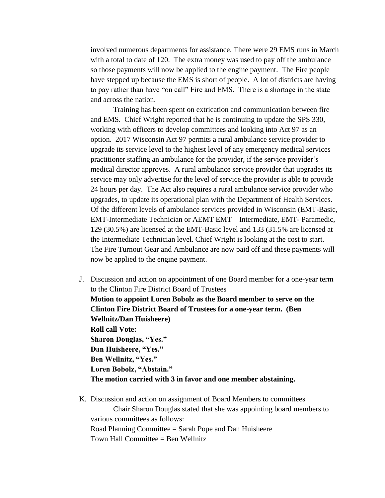involved numerous departments for assistance. There were 29 EMS runs in March with a total to date of 120. The extra money was used to pay off the ambulance so those payments will now be applied to the engine payment. The Fire people have stepped up because the EMS is short of people. A lot of districts are having to pay rather than have "on call" Fire and EMS. There is a shortage in the state and across the nation.

Training has been spent on extrication and communication between fire and EMS. Chief Wright reported that he is continuing to update the SPS 330, working with officers to develop committees and looking into Act 97 as an option. 2017 Wisconsin Act 97 permits a rural ambulance service provider to upgrade its service level to the highest level of any emergency medical services practitioner staffing an ambulance for the provider, if the service provider's medical director approves. A rural ambulance service provider that upgrades its service may only advertise for the level of service the provider is able to provide 24 hours per day. The Act also requires a rural ambulance service provider who upgrades, to update its operational plan with the Department of Health Services. Of the different levels of ambulance services provided in Wisconsin (EMT-Basic, EMT-Intermediate Technician or AEMT EMT – Intermediate, EMT- Paramedic, 129 (30.5%) are licensed at the EMT-Basic level and 133 (31.5% are licensed at the Intermediate Technician level. Chief Wright is looking at the cost to start. The Fire Turnout Gear and Ambulance are now paid off and these payments will now be applied to the engine payment.

- J. Discussion and action on appointment of one Board member for a one-year term to the Clinton Fire District Board of Trustees **Motion to appoint Loren Bobolz as the Board member to serve on the Clinton Fire District Board of Trustees for a one-year term. (Ben Wellnitz/Dan Huisheere) Roll call Vote: Sharon Douglas, "Yes." Dan Huisheere, "Yes." Ben Wellnitz, "Yes." Loren Bobolz, "Abstain." The motion carried with 3 in favor and one member abstaining.**
- K. Discussion and action on assignment of Board Members to committees Chair Sharon Douglas stated that she was appointing board members to various committees as follows: Road Planning Committee = Sarah Pope and Dan Huisheere Town Hall Committee = Ben Wellnitz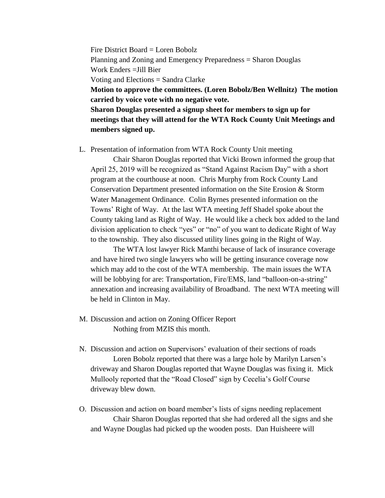Fire District Board = Loren Bobolz Planning and Zoning and Emergency Preparedness = Sharon Douglas Work Enders =Jill Bier Voting and Elections = Sandra Clarke **Motion to approve the committees. (Loren Bobolz/Ben Wellnitz) The motion carried by voice vote with no negative vote. Sharon Douglas presented a signup sheet for members to sign up for** 

**meetings that they will attend for the WTA Rock County Unit Meetings and members signed up.**

L. Presentation of information from WTA Rock County Unit meeting

Chair Sharon Douglas reported that Vicki Brown informed the group that April 25, 2019 will be recognized as "Stand Against Racism Day" with a short program at the courthouse at noon. Chris Murphy from Rock County Land Conservation Department presented information on the Site Erosion & Storm Water Management Ordinance. Colin Byrnes presented information on the Towns' Right of Way. At the last WTA meeting Jeff Shadel spoke about the County taking land as Right of Way. He would like a check box added to the land division application to check "yes" or "no" of you want to dedicate Right of Way to the township. They also discussed utility lines going in the Right of Way.

The WTA lost lawyer Rick Manthi because of lack of insurance coverage and have hired two single lawyers who will be getting insurance coverage now which may add to the cost of the WTA membership. The main issues the WTA will be lobbying for are: Transportation, Fire/EMS, land "balloon-on-a-string" annexation and increasing availability of Broadband. The next WTA meeting will be held in Clinton in May.

- M. Discussion and action on Zoning Officer Report Nothing from MZIS this month.
- N. Discussion and action on Supervisors' evaluation of their sections of roads Loren Bobolz reported that there was a large hole by Marilyn Larsen's driveway and Sharon Douglas reported that Wayne Douglas was fixing it. Mick Mullooly reported that the "Road Closed" sign by Cecelia's Golf Course driveway blew down.
- O. Discussion and action on board member's lists of signs needing replacement Chair Sharon Douglas reported that she had ordered all the signs and she and Wayne Douglas had picked up the wooden posts. Dan Huisheere will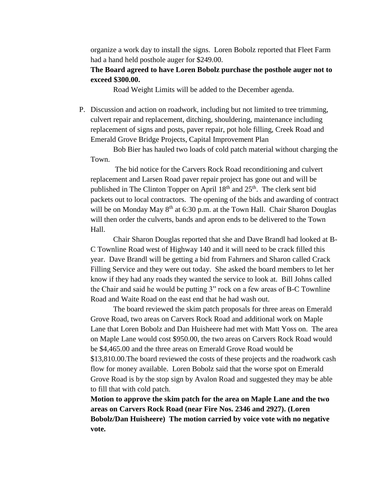organize a work day to install the signs. Loren Bobolz reported that Fleet Farm had a hand held posthole auger for \$249.00.

## **The Board agreed to have Loren Bobolz purchase the posthole auger not to exceed \$300.00.**

Road Weight Limits will be added to the December agenda.

P. Discussion and action on roadwork, including but not limited to tree trimming, culvert repair and replacement, ditching, shouldering, maintenance including replacement of signs and posts, paver repair, pot hole filling, Creek Road and Emerald Grove Bridge Projects, Capital Improvement Plan

Bob Bier has hauled two loads of cold patch material without charging the Town.

The bid notice for the Carvers Rock Road reconditioning and culvert replacement and Larsen Road paver repair project has gone out and will be published in The Clinton Topper on April 18<sup>th</sup> and 25<sup>th</sup>. The clerk sent bid packets out to local contractors. The opening of the bids and awarding of contract will be on Monday May 8<sup>th</sup> at 6:30 p.m. at the Town Hall. Chair Sharon Douglas will then order the culverts, bands and apron ends to be delivered to the Town Hall.

Chair Sharon Douglas reported that she and Dave Brandl had looked at B-C Townline Road west of Highway 140 and it will need to be crack filled this year. Dave Brandl will be getting a bid from Fahrners and Sharon called Crack Filling Service and they were out today. She asked the board members to let her know if they had any roads they wanted the service to look at. Bill Johns called the Chair and said he would be putting 3" rock on a few areas of B-C Townline Road and Waite Road on the east end that he had wash out.

The board reviewed the skim patch proposals for three areas on Emerald Grove Road, two areas on Carvers Rock Road and additional work on Maple Lane that Loren Bobolz and Dan Huisheere had met with Matt Yoss on. The area on Maple Lane would cost \$950.00, the two areas on Carvers Rock Road would be \$4,465.00 and the three areas on Emerald Grove Road would be \$13,810.00.The board reviewed the costs of these projects and the roadwork cash flow for money available. Loren Bobolz said that the worse spot on Emerald Grove Road is by the stop sign by Avalon Road and suggested they may be able to fill that with cold patch.

**Motion to approve the skim patch for the area on Maple Lane and the two areas on Carvers Rock Road (near Fire Nos. 2346 and 2927). (Loren Bobolz/Dan Huisheere) The motion carried by voice vote with no negative vote.**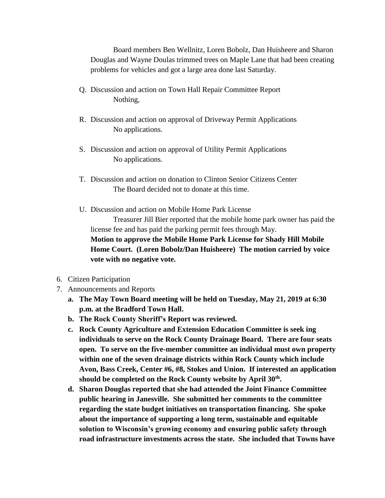Board members Ben Wellnitz, Loren Bobolz, Dan Huisheere and Sharon Douglas and Wayne Doulas trimmed trees on Maple Lane that had been creating problems for vehicles and got a large area done last Saturday.

- Q. Discussion and action on Town Hall Repair Committee Report Nothing,
- R. Discussion and action on approval of Driveway Permit Applications No applications.
- S. Discussion and action on approval of Utility Permit Applications No applications.
- T. Discussion and action on donation to Clinton Senior Citizens Center The Board decided not to donate at this time.
- U. Discussion and action on Mobile Home Park License

Treasurer Jill Bier reported that the mobile home park owner has paid the license fee and has paid the parking permit fees through May.

**Motion to approve the Mobile Home Park License for Shady Hill Mobile Home Court. (Loren Bobolz/Dan Huisheere) The motion carried by voice vote with no negative vote.**

- 6. Citizen Participation
- 7. Announcements and Reports
	- **a. The May Town Board meeting will be held on Tuesday, May 21, 2019 at 6:30 p.m. at the Bradford Town Hall.**
	- **b. The Rock County Sheriff's Report was reviewed.**
	- **c. Rock County Agriculture and Extension Education Committee is seek ing individuals to serve on the Rock County Drainage Board. There are four seats open. To serve on the five-member committee an individual must own property within one of the seven drainage districts within Rock County which include Avon, Bass Creek, Center #6, #8, Stokes and Union. If interested an application should be completed on the Rock County website by April 30th .**
	- **d. Sharon Douglas reported that she had attended the Joint Finance Committee public hearing in Janesville. She submitted her comments to the committee regarding the state budget initiatives on transportation financing. She spoke about the importance of supporting a long term, sustainable and equitable solution to Wisconsin's growing economy and ensuring public safety through road infrastructure investments across the state. She included that Towns have**